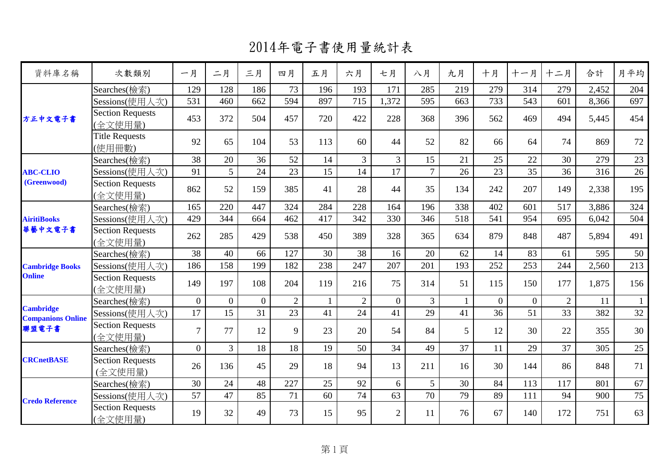| 資料庫名稱                                        | 次數類別                               | 一月             | 二月             | 三月       | 四月             | 五月  | 六月             | 七月             | 八月             | 九月             | 十月       | 十一月            | 十二月            | 合計    | 月平均          |
|----------------------------------------------|------------------------------------|----------------|----------------|----------|----------------|-----|----------------|----------------|----------------|----------------|----------|----------------|----------------|-------|--------------|
|                                              | Searches(檢索)                       | 129            | 128            | 186      | 73             | 196 | 193            | 171            | 285            | 219            | 279      | 314            | 279            | 2,452 | 204          |
| 方正中文電子書                                      | Sessions(使用人次)                     | 531            | 460            | 662      | 594            | 897 | 715            | 1,372          | 595            | 663            | 733      | 543            | 601            | 8,366 | 697          |
|                                              | <b>Section Requests</b><br>(全文使用量) | 453            | 372            | 504      | 457            | 720 | 422            | 228            | 368            | 396            | 562      | 469            | 494            | 5,445 | 454          |
|                                              | <b>Title Requests</b><br>(使用冊數)    | 92             | 65             | 104      | 53             | 113 | 60             | 44             | 52             | 82             | 66       | 64             | 74             | 869   | 72           |
|                                              | Searches(檢索)                       | 38             | 20             | 36       | 52             | 14  | 3              | $\overline{3}$ | 15             | 21             | 25       | 22             | 30             | 279   | 23           |
| <b>ABC-CLIO</b>                              | Sessions(使用人次)                     | 91             | 5 <sup>5</sup> | 24       | 23             | 15  | 14             | 17             | $\overline{7}$ | 26             | 23       | 35             | 36             | 316   | 26           |
| (Greenwood)                                  | <b>Section Requests</b><br>(全文使用量) | 862            | 52             | 159      | 385            | 41  | 28             | 44             | 35             | 134            | 242      | 207            | 149            | 2,338 | 195          |
| <b>AiritiBooks</b><br>華藝中文電子書                | Searches(檢索)                       | 165            | 220            | 447      | 324            | 284 | 228            | 164            | 196            | 338            | 402      | 601            | 517            | 3,886 | 324          |
|                                              | Sessions(使用人次)                     | 429            | 344            | 664      | 462            | 417 | 342            | 330            | 346            | 518            | 541      | 954            | 695            | 6,042 | 504          |
|                                              | <b>Section Requests</b><br>(全文使用量) | 262            | 285            | 429      | 538            | 450 | 389            | 328            | 365            | 634            | 879      | 848            | 487            | 5,894 | 491          |
|                                              | Searches(檢索)                       | 38             | 40             | 66       | 127            | 30  | 38             | 16             | 20             | 62             | 14       | 83             | 61             | 595   | 50           |
| <b>Cambridge Books</b>                       | Sessions(使用人次)                     | 186            | 158            | 199      | 182            | 238 | 247            | 207            | 201            | 193            | 252      | 253            | 244            | 2,560 | 213          |
| <b>Online</b>                                | <b>Section Requests</b><br>(全文使用量) | 149            | 197            | 108      | 204            | 119 | 216            | 75             | 314            | 51             | 115      | 150            | 177            | 1,875 | 156          |
|                                              | Searches(檢索)                       | $\overline{0}$ | $\overline{0}$ | $\Omega$ | $\overline{2}$ |     | $\overline{2}$ | $\Omega$       | 3              |                | $\Omega$ | $\overline{0}$ | $\overline{2}$ | 11    | $\mathbf{1}$ |
| <b>Cambridge</b><br><b>Companions Online</b> | Sessions(使用人次)                     | 17             | 15             | 31       | 23             | 41  | 24             | 41             | 29             | 41             | 36       | 51             | 33             | 382   | 32           |
| 聯盟電子書                                        | <b>Section Requests</b><br>(全文使用量) | $\overline{7}$ | 77             | 12       | 9              | 23  | 20             | 54             | 84             | 5 <sup>5</sup> | 12       | 30             | 22             | 355   | 30           |
|                                              | Searches(檢索)                       | $\overline{0}$ | $\overline{3}$ | 18       | 18             | 19  | 50             | 34             | 49             | 37             | 11       | 29             | 37             | 305   | $25\,$       |
| <b>CRCnetBASE</b>                            | <b>Section Requests</b><br>(全文使用量) | 26             | 136            | 45       | 29             | 18  | 94             | 13             | 211            | 16             | 30       | 144            | 86             | 848   | 71           |
|                                              | Searches(檢索)                       | 30             | 24             | 48       | 227            | 25  | 92             | 6              | 5              | 30             | 84       | 113            | 117            | 801   | 67           |
|                                              | Sessions(使用人次)                     | 57             | 47             | 85       | 71             | 60  | 74             | 63             | 70             | 79             | 89       | 111            | 94             | 900   | 75           |
| <b>Credo Reference</b>                       | <b>Section Requests</b><br>(全文使用量) | 19             | 32             | 49       | 73             | 15  | 95             | $\overline{2}$ | 11             | 76             | 67       | 140            | 172            | 751   | 63           |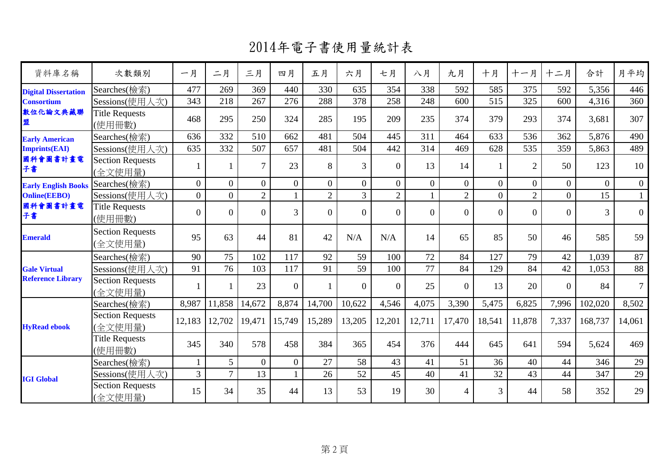| 資料庫名稱                       | 次數類別                               | 一月             | 二月             | 三月             | 四月             | 五月             | 六月             | 七月             | 八月             | 九月             | 十月             | 十一月            | 十二月            | 合計             | 月平均            |
|-----------------------------|------------------------------------|----------------|----------------|----------------|----------------|----------------|----------------|----------------|----------------|----------------|----------------|----------------|----------------|----------------|----------------|
| <b>Digital Dissertation</b> | Searches(檢索)                       | 477            | 269            | 369            | 440            | 330            | 635            | 354            | 338            | 592            | 585            | 375            | 592            | 5,356          | 446            |
| <b>Consortium</b>           | Sessions(使用人次)                     | 343            | 218            | 267            | 276            | 288            | 378            | 258            | 248            | 600            | 515            | 325            | 600            | 4,316          | 360            |
| 敦位化論文典藏聯<br>盟               | <b>Title Requests</b><br>(使用冊數)    | 468            | 295            | 250            | 324            | 285            | 195            | 209            | 235            | 374            | 379            | 293            | 374            | 3,681          | 307            |
| <b>Early American</b>       | Searches(檢索)                       | 636            | 332            | 510            | 662            | 481            | 504            | 445            | 311            | 464            | 633            | 536            | 362            | 5,876          | 490            |
| <b>Imprints(EAI)</b>        | Sessions(使用人次)                     | 635            | 332            | 507            | 657            | 481            | 504            | 442            | 314            | 469            | 628            | 535            | 359            | 5,863          | 489            |
| 國科會圖書計畫電<br>子書              | <b>Section Requests</b><br>(全文使用量) |                |                | $\overline{7}$ | 23             | 8              | $\overline{3}$ | $\theta$       | 13             | 14             |                | $\overline{2}$ | 50             | 123            | 10             |
| <b>Early English Books</b>  | Searches(檢索)                       | $\overline{0}$ | $\overline{0}$ | $\overline{0}$ | $\overline{0}$ | $\overline{0}$ | $\overline{0}$ | $\overline{0}$ | $\overline{0}$ | $\overline{0}$ | $\overline{0}$ | $\overline{0}$ | $\overline{0}$ | $\overline{0}$ | $\overline{0}$ |
| <b>Online(EEBO)</b>         | Sessions(使用人次)                     | $\overline{0}$ | $\Omega$       | $\overline{2}$ | 1              | $\overline{2}$ | $\overline{3}$ | $\overline{2}$ |                | $\overline{2}$ | $\overline{0}$ | $\overline{2}$ | $\theta$       | 15             | $\mathbf{1}$   |
| 國科會圖書計畫電<br>子書              | <b>Title Requests</b><br>(使用冊數)    | $\overline{0}$ | $\overline{0}$ | $\overline{0}$ | 3              | $\Omega$       | $\Omega$       | $\theta$       | $\Omega$       | $\overline{0}$ | $\theta$       | $\theta$       | $\Omega$       | $\overline{3}$ | $\overline{0}$ |
| <b>Emerald</b>              | <b>Section Requests</b><br>(全文使用量) | 95             | 63             | 44             | 81             | 42             | N/A            | N/A            | 14             | 65             | 85             | 50             | 46             | 585            | 59             |
|                             | Searches(檢索)                       | 90             | 75             | 102            | 117            | 92             | 59             | 100            | 72             | 84             | 127            | 79             | 42             | 1,039          | 87             |
| <b>Gale Virtual</b>         | Sessions(使用人次)                     | 91             | 76             | 103            | 117            | 91             | 59             | 100            | 77             | 84             | 129            | 84             | 42             | 1,053          | 88             |
| <b>Reference Library</b>    | <b>Section Requests</b><br>(全文使用量) |                |                | 23             | $\overline{0}$ |                | $\theta$       | $\overline{0}$ | 25             | $\overline{0}$ | 13             | 20             | $\Omega$       | 84             | $\overline{7}$ |
|                             | Searches(檢索)                       | 8,987          | 11,858         | 14,672         | 8,874          | 14,700         | 10,622         | 4,546          | 4,075          | 3,390          | 5,475          | 6,825          | 7,996          | 102,020        | 8,502          |
| <b>HyRead ebook</b>         | <b>Section Requests</b><br>(全文使用量) | 12,183         | 12,702         | 19,471         | 15,749         | 15,289         | 13,205         | 12,201         | 12,711         | 17,470         | 18,541         | 11,878         | 7,337          | 168,737        | 14,061         |
|                             | <b>Title Requests</b><br>(使用冊數)    | 345            | 340            | 578            | 458            | 384            | 365            | 454            | 376            | 444            | 645            | 641            | 594            | 5,624          | 469            |
|                             | Searches(檢索)                       |                | 5              | $\overline{0}$ | $\overline{0}$ | 27             | 58             | 43             | 41             | 51             | 36             | 40             | 44             | 346            | 29             |
| <b>IGI Global</b>           | Sessions(使用人次)                     | $\overline{3}$ | $\overline{7}$ | 13             | 1              | 26             | 52             | 45             | 40             | 41             | 32             | 43             | 44             | 347            | 29             |
|                             | <b>Section Requests</b><br>(全文使用量) | 15             | 34             | 35             | 44             | 13             | 53             | 19             | 30             | $\overline{4}$ | 3              | 44             | 58             | 352            | 29             |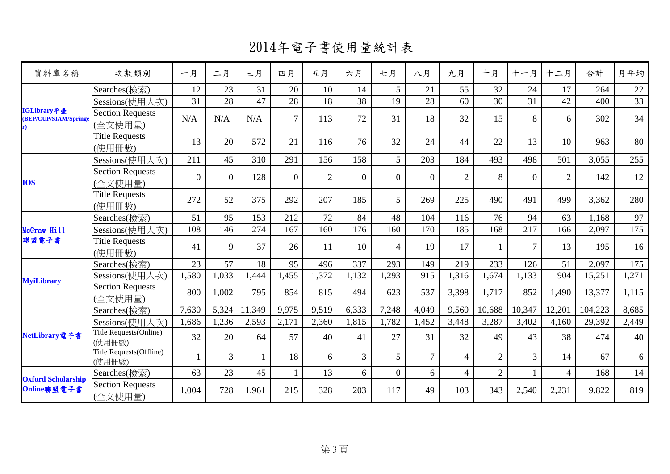| 資料庫名稱                                | 次數類別                               | 一月             | 二月             | 三月     | 四月             | 五月             | 六月             | 七月             | 八月             | 九月             | 十月             | 十一月            | 十二月            | 合計      | 月平均             |
|--------------------------------------|------------------------------------|----------------|----------------|--------|----------------|----------------|----------------|----------------|----------------|----------------|----------------|----------------|----------------|---------|-----------------|
|                                      | Searches(檢索)                       | 12             | 23             | 31     | 20             | 10             | 14             | 5              | 21             | 55             | 32             | 24             | 17             | 264     | 22              |
|                                      | Sessions(使用人次)                     | 31             | 28             | 47     | 28             | 18             | 38             | 19             | 28             | 60             | 30             | 31             | 42             | 400     | $\overline{33}$ |
| IGLibrary平臺<br>(BEP/CUP/SIAM/Springe | <b>Section Requests</b><br>(全文使用量) | N/A            | N/A            | N/A    | $\overline{7}$ | 113            | 72             | 31             | 18             | 32             | 15             | 8              | 6              | 302     | 34              |
|                                      | <b>Title Requests</b><br>(使用冊數)    | 13             | 20             | 572    | 21             | 116            | 76             | 32             | 24             | 44             | 22             | 13             | 10             | 963     | 80              |
|                                      | Sessions(使用人次)                     | 211            | 45             | 310    | 291            | 156            | 158            | 5              | 203            | 184            | 493            | 498            | 501            | 3,055   | 255             |
| <b>IOS</b>                           | Section Requests<br>(全文使用量)        | $\overline{0}$ | $\overline{0}$ | 128    | $\overline{0}$ | $\overline{2}$ | $\overline{0}$ | $\overline{0}$ | $\overline{0}$ | 2              | 8              | $\overline{0}$ | $\overline{2}$ | 142     | 12              |
|                                      | <b>Title Requests</b><br>(使用冊數)    | 272            | 52             | 375    | 292            | 207            | 185            | 5              | 269            | 225            | 490            | 491            | 499            | 3,362   | 280             |
| McGraw Hill                          | Searches(檢索)                       | 51             | 95             | 153    | 212            | 72             | 84             | 48             | 104            | 116            | 76             | 94             | 63             | 1,168   | 97              |
|                                      | Sessions(使用人次)                     | 108            | 146            | 274    | 167            | 160            | 176            | 160            | 170            | 185            | 168            | 217            | 166            | 2,097   | 175             |
| 聯盟電子書                                | <b>Title Requests</b><br>(使用冊數)    | 41             | 9              | 37     | 26             | 11             | 10             | $\overline{4}$ | 19             | 17             |                | $\overline{7}$ | 13             | 195     | 16              |
|                                      | Searches(檢索)                       | 23             | 57             | 18     | 95             | 496            | 337            | 293            | 149            | 219            | 233            | 126            | 51             | 2,097   | 175             |
| <b>MyiLibrary</b>                    | Sessions(使用人次)                     | 1,580          | 1,033          | 1,444  | 1,455          | 1,372          | 1,132          | 1,293          | 915            | 1,316          | 1,674          | 1,133          | 904            | 15,251  | 1,271           |
|                                      | <b>Section Requests</b><br>(全文使用量) | 800            | 1,002          | 795    | 854            | 815            | 494            | 623            | 537            | 3,398          | 1,717          | 852            | 1,490          | 13,377  | 1,115           |
|                                      | Searches(檢索)                       | 7,630          | 5,324          | 11,349 | 9,975          | 9,519          | 6,333          | 7,248          | 4,049          | 9,560          | 10,688         | 10,347         | 12,201         | 104,223 | 8,685           |
|                                      | Sessions(使用人次)                     | 1,686          | 1,236          | 2,593  | 2,171          | 2,360          | 1,815          | 1,782          | 1,452          | 3,448          | 3,287          | 3,402          | 4,160          | 29,392  | 2,449           |
| NetLibrary電子書                        | Title Requests(Online)<br>(使用冊數)   | 32             | 20             | 64     | 57             | 40             | 41             | 27             | 31             | 32             | 49             | 43             | 38             | 474     | 40              |
|                                      | Title Requests(Offline)<br>(使用冊數)  |                | $\overline{3}$ |        | 18             | 6              | $\overline{3}$ | 5              | $\tau$         | $\overline{4}$ | $\overline{2}$ | 3              | 14             | 67      | 6               |
| <b>Oxford Scholarship</b>            | Searches(檢索)                       | 63             | 23             | 45     | 1              | 13             | 6              | $\overline{0}$ | 6              | $\overline{4}$ | $\overline{2}$ |                | $\overline{4}$ | 168     | 14              |
| Online聯盟電子書                          | <b>Section Requests</b><br>(全文使用量) | 1,004          | 728            | 1,961  | 215            | 328            | 203            | 117            | 49             | 103            | 343            | 2,540          | 2,231          | 9,822   | 819             |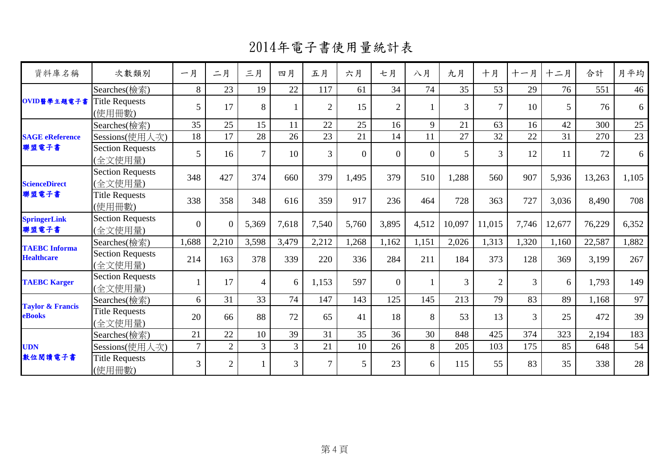2014年電子書使用量統計表

| 次數類別                               | 一月              | 二月             | 三月             | 四月    | 五月             | 六月       | 七月             | 八月       | 九月             | 十月             | 十一月            | 十二月    | 合計     | 月平均   |
|------------------------------------|-----------------|----------------|----------------|-------|----------------|----------|----------------|----------|----------------|----------------|----------------|--------|--------|-------|
| Searches(檢索)                       | 8               | 23             | 19             | 22    | 117            | 61       | 34             | 74       | 35             | 53             | 29             | 76     | 551    | 46    |
| <b>Title Requests</b><br>(使用冊數)    | 5               | 17             | 8              |       | $\overline{2}$ | 15       | $\overline{2}$ |          | $\overline{3}$ | $\tau$         | 10             | 5      | 76     | 6     |
| Searches(檢索)                       | 35              | 25             | 15             | 11    | 22             | 25       | 16             | 9        | 21             | 63             | 16             | 42     | 300    | 25    |
| Sessions(使用人次)                     | 18              | 17             | 28             | 26    | 23             | 21       | 14             | 11       | 27             | 32             | 22             | 31     | 270    | 23    |
| <b>Section Requests</b><br>(全文使用量) | $5\overline{)}$ | 16             | $\tau$         | 10    | 3              | $\Omega$ | $\Omega$       | $\Omega$ | 5              | $\overline{3}$ | 12             | 11     | 72     | 6     |
| <b>Section Requests</b><br>(全文使用量) | 348             | 427            | 374            | 660   | 379            | 1,495    | 379            | 510      | 1,288          | 560            | 907            | 5,936  | 13,263 | 1,105 |
| <b>Title Requests</b><br>(使用冊數)    | 338             | 358            | 348            | 616   | 359            | 917      | 236            | 464      | 728            | 363            | 727            | 3,036  | 8,490  | 708   |
| <b>Section Requests</b><br>(全文使用量) | $\overline{0}$  | $\theta$       | 5,369          | 7,618 | 7,540          | 5,760    | 3,895          | 4,512    | 10,097         | 11,015         | 7,746          | 12,677 | 76,229 | 6,352 |
| Searches(檢索)                       | 1,688           | 2,210          | 3,598          | 3,479 | 2,212          | 1,268    | 1,162          | 1,151    | 2,026          | 1,313          | 1,320          | 1,160  | 22,587 | 1,882 |
| <b>Section Requests</b><br>(全文使用量) | 214             | 163            | 378            | 339   | 220            | 336      | 284            | 211      | 184            | 373            | 128            | 369    | 3,199  | 267   |
| <b>Section Requests</b><br>(全文使用量) |                 | 17             | $\overline{4}$ | 6     | 1,153          | 597      | $\theta$       |          | 3              | $\overline{2}$ | $\overline{3}$ | 6      | 1,793  | 149   |
| Searches(檢索)                       | 6               | 31             | 33             | 74    | 147            | 143      | 125            | 145      | 213            | 79             | 83             | 89     | 1,168  | 97    |
| <b>Title Requests</b><br>(全文使用量)   | 20              | 66             | 88             | 72    | 65             | 41       | 18             | 8        | 53             | 13             | 3              | 25     | 472    | 39    |
| Searches(檢索)                       | 21              | 22             | 10             | 39    | 31             | 35       | 36             | 30       | 848            | 425            | 374            | 323    | 2,194  | 183   |
| Sessions(使用人次)                     | $\overline{7}$  | $\overline{2}$ | $\overline{3}$ | 3     | 21             | 10       | 26             | 8        | 205            | 103            | 175            | 85     | 648    | 54    |
| <b>Title Requests</b><br>(使用冊數)    | 3               | $\overline{2}$ |                | 3     | $\tau$         | 5        | 23             | 6        | 115            | 55             | 83             | 35     | 338    | 28    |
|                                    |                 |                |                |       |                |          |                |          |                |                |                |        |        |       |